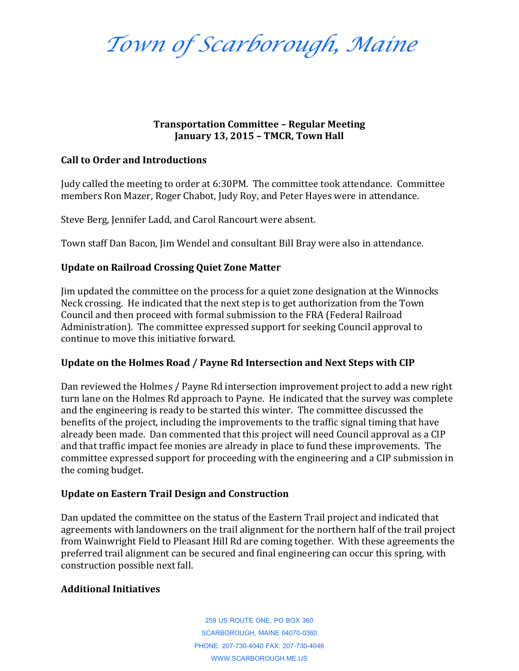*Town of Scarborough, Maine*

### **Transportation Committee – Regular Meeting January 13, 2015 – TMCR, Town Hall**

### **Call to Order and Introductions**

Judy called the meeting to order at 6:30PM. The committee took attendance. Committee members Ron Mazer, Roger Chabot, Judy Roy, and Peter Hayes were in attendance.

Steve Berg, Jennifer Ladd, and Carol Rancourt were absent.

Town staff Dan Bacon, Jim Wendel and consultant Bill Bray were also in attendance.

# **Update on Railroad Crossing Quiet Zone Matter**

Jim updated the committee on the process for a quiet zone designation at the Winnocks Neck crossing. He indicated that the next step is to get authorization from the Town Council and then proceed with formal submission to the FRA (Federal Railroad Administration). The committee expressed support for seeking Council approval to continue to move this initiative forward.

# **Update on the Holmes Road / Payne Rd Intersection and Next Steps with CIP**

Dan reviewed the Holmes / Payne Rd intersection improvement project to add a new right turn lane on the Holmes Rd approach to Payne. He indicated that the survey was complete and the engineering is ready to be started this winter. The committee discussed the benefits of the project, including the improvements to the traffic signal timing that have already been made. Dan commented that this project will need Council approval as a CIP and that traffic impact fee monies are already in place to fund these improvements. The committee expressed support for proceeding with the engineering and a CIP submission in the coming budget.

# **Update on Eastern Trail Design and Construction**

Dan updated the committee on the status of the Eastern Trail project and indicated that agreements with landowners on the trail alignment for the northern half of the trail project from Wainwright Field to Pleasant Hill Rd are coming together. With these agreements the preferred trail alignment can be secured and final engineering can occur this spring, with construction possible next fall.

# **Additional Initiatives**

259 US ROUTE ONE, PO BOX 360 SCARBOROUGH, MAINE 04070-0360 PHONE: 207-730-4040 FAX: 207-730-4046 WWW.SCARBOROUGH.ME.US